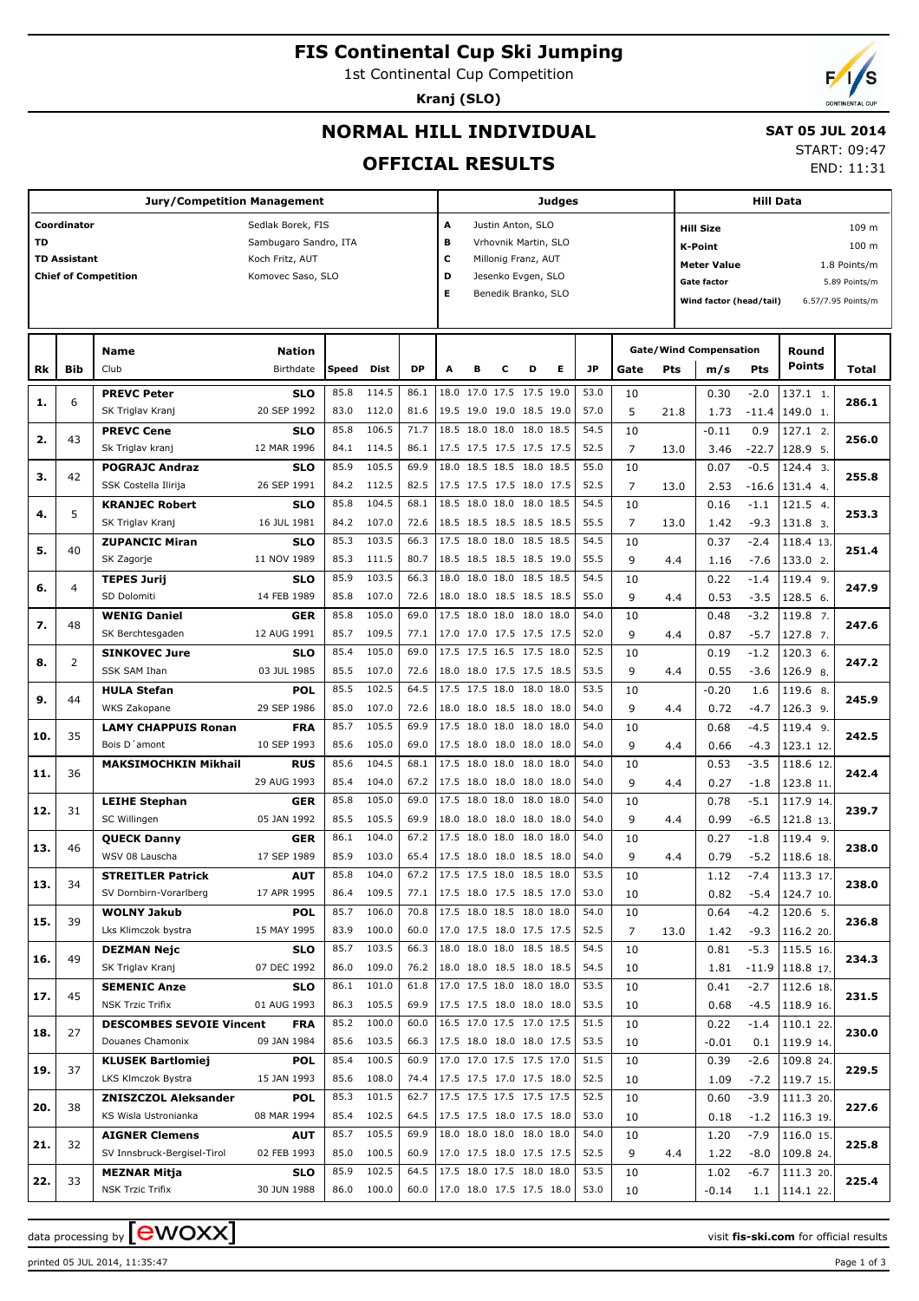# **FIS Continental Cup Ski Jumping**

1st Continental Cup Competition

**Kranj (SLO)**

END: 11:31

## **NORMAL HILL INDIVIDUAL**

#### **SAT 05 JUL 2014** START: 09:47

**OFFICIAL RESULTS**

|           |                     | Jury/Competition Management     |                       |       |            |           | Judges |                          |   |                      | Hill Data |                      |      |      |                               |         |                   |                    |  |
|-----------|---------------------|---------------------------------|-----------------------|-------|------------|-----------|--------|--------------------------|---|----------------------|-----------|----------------------|------|------|-------------------------------|---------|-------------------|--------------------|--|
|           | Coordinator         |                                 | Sedlak Borek, FIS     |       |            |           | Α      |                          |   | Justin Anton, SLO    |           |                      |      |      | 109 m<br><b>Hill Size</b>     |         |                   |                    |  |
| <b>TD</b> |                     |                                 | Sambugaro Sandro, ITA |       |            |           | в      |                          |   | Vrhovnik Martin, SLO |           |                      |      |      | 100 m<br><b>K-Point</b>       |         |                   |                    |  |
|           | <b>TD Assistant</b> |                                 | Koch Fritz, AUT       |       |            |           | c      |                          |   | Millonig Franz, AUT  |           |                      |      |      |                               |         |                   |                    |  |
|           |                     | <b>Chief of Competition</b>     | Komovec Saso, SLO     |       |            |           | D      |                          |   | Jesenko Evgen, SLO   |           |                      |      |      | <b>Meter Value</b>            |         |                   | 1.8 Points/m       |  |
|           |                     |                                 |                       |       |            |           | Е      |                          |   | Benedik Branko, SLO  |           |                      |      |      | <b>Gate factor</b>            |         |                   | 5.89 Points/m      |  |
|           |                     |                                 |                       |       |            |           |        |                          |   |                      |           |                      |      |      | Wind factor (head/tail)       |         |                   | 6.57/7.95 Points/m |  |
|           |                     |                                 |                       |       |            |           |        |                          |   |                      |           |                      |      |      |                               |         |                   |                    |  |
|           |                     |                                 |                       |       |            |           |        |                          |   |                      |           |                      |      |      |                               |         |                   |                    |  |
|           |                     | <b>Name</b>                     | <b>Nation</b>         |       |            |           |        |                          |   |                      |           |                      |      |      | <b>Gate/Wind Compensation</b> |         | Round             |                    |  |
| Rk        | Bib                 | Club                            | Birthdate             | Speed | Dist       | <b>DP</b> | A      | в                        | с | D                    | Е         | JP                   | Gate | Pts  | m/s                           | Pts     | <b>Points</b>     | Total              |  |
|           |                     | <b>PREVC Peter</b>              | <b>SLO</b>            | 85.8  | 114.5      | 86.1      |        | 18.0 17.0 17.5 17.5 19.0 |   |                      |           | 53.0                 | 10   |      | 0.30                          | $-2.0$  | 137.1 1.          |                    |  |
| 1.        | 6                   | SK Triglav Kranj                | 20 SEP 1992           | 83.0  | 112.0      | 81.6      |        | 19.5 19.0 19.0 18.5 19.0 |   |                      |           | 57.0                 | 5    | 21.8 | 1.73                          | $-11.4$ | 149.0 1.          | 286.1              |  |
|           |                     | <b>PREVC Cene</b>               | <b>SLO</b>            | 85.8  | 106.5      | 71.7      |        | 18.5 18.0 18.0 18.0 18.5 |   |                      |           | 54.5                 | 10   |      | $-0.11$                       | 0.9     | 127.1 2.          |                    |  |
| 2.        | 43                  | Sk Triglav kranj                | 12 MAR 1996           | 84.1  | 114.5      | 86.1      |        | 17.5 17.5 17.5 17.5 17.5 |   |                      |           | 52.5                 | 7    | 13.0 | 3.46                          | $-22.7$ | 128.9 5.          | 256.0              |  |
|           |                     | <b>POGRAJC Andraz</b>           | <b>SLO</b>            | 85.9  | 105.5      | 69.9      |        | 18.0 18.5 18.5 18.0 18.5 |   |                      |           | 55.0                 | 10   |      | 0.07                          | $-0.5$  | 124.4 3.          |                    |  |
| з.        | 42                  | SSK Costella Ilirija            | 26 SEP 1991           | 84.2  | 112.5      | 82.5      |        | 17.5 17.5 17.5 18.0 17.5 |   |                      |           | 52.5                 | 7    | 13.0 | 2.53                          | $-16.6$ | 131.4 4.          | 255.8              |  |
|           |                     | <b>KRANJEC Robert</b>           | <b>SLO</b>            | 85.8  | 104.5      | 68.1      |        | 18.5 18.0 18.0 18.0 18.5 |   |                      |           | 54.5                 | 10   |      | 0.16                          | $-1.1$  | 121.5 4.          |                    |  |
| 4.        | 5                   | SK Triglav Kranj                | 16 JUL 1981           | 84.2  | 107.0      | 72.6      |        | 18.5 18.5 18.5 18.5 18.5 |   |                      |           | 55.5                 | 7    | 13.0 | 1.42                          | $-9.3$  | 131.8 3.          | 253.3              |  |
|           |                     | <b>ZUPANCIC Miran</b>           | <b>SLO</b>            | 85.3  | 103.5      | 66.3      |        | 17.5 18.0 18.0 18.5 18.5 |   |                      |           | 54.5                 | 10   |      | 0.37                          | $-2.4$  | 118.4 13.         |                    |  |
| 5.        | 40                  | SK Zagorje                      | 11 NOV 1989           | 85.3  | 111.5      | 80.7      |        | 18.5 18.5 18.5 18.5 19.0 |   |                      |           | 55.5                 | 9    | 4.4  | 1.16                          | $-7.6$  | 133.0 2.          | 251.4              |  |
|           |                     | <b>TEPES Jurij</b>              | <b>SLO</b>            | 85.9  | 103.5      | 66.3      |        | 18.0 18.0 18.0 18.5 18.5 |   |                      |           | 54.5                 | 10   |      | 0.22                          | $-1.4$  | 119.4 9.          |                    |  |
| 6.        | 4                   | SD Dolomiti                     |                       |       |            |           |        |                          |   |                      |           |                      |      |      |                               |         |                   | 247.9              |  |
|           |                     |                                 | 14 FEB 1989           | 85.8  | 107.0      | 72.6      |        | 18.0 18.0 18.5 18.5 18.5 |   |                      |           | 55.0                 | 9    | 4.4  | 0.53                          | $-3.5$  | 128.5 6.          |                    |  |
| 7.        | 48                  | <b>WENIG Daniel</b>             | <b>GER</b>            | 85.8  | 105.0      | 69.0      |        | 17.5 18.0 18.0 18.0 18.0 |   |                      |           | 54.0                 | 10   |      | 0.48                          | $-3.2$  | 119.8 7.          | 247.6              |  |
|           |                     | SK Berchtesgaden                | 12 AUG 1991           | 85.7  | 109.5      | 77.1      |        | 17.0 17.0 17.5 17.5 17.5 |   |                      |           | 52.0                 | 9    | 4.4  | 0.87                          | $-5.7$  | 127.8 7.          |                    |  |
| 8.        | $\overline{2}$      | <b>SINKOVEC Jure</b>            | <b>SLO</b>            | 85.4  | 105.0      | 69.0      |        | 17.5 17.5 16.5 17.5 18.0 |   |                      |           | 52.5                 | 10   |      | 0.19                          | $-1.2$  | 120.3 6.          | 247.2              |  |
|           |                     | SSK SAM Ihan                    | 03 JUL 1985           | 85.5  | 107.0      | 72.6      |        | 18.0 18.0 17.5 17.5 18.5 |   |                      |           | 53.5                 | 9    | 4.4  | 0.55                          | $-3.6$  | 126.9 8.          |                    |  |
| 9.        | 44                  | <b>HULA Stefan</b>              | <b>POL</b>            | 85.5  | 102.5      | 64.5      |        | 17.5 17.5 18.0 18.0      |   |                      | 18.0      | 53.5                 | 10   |      | $-0.20$                       | 1.6     | 119.6 8.          | 245.9              |  |
|           |                     | WKS Zakopane                    | 29 SEP 1986           | 85.0  | 107.0      | 72.6      |        | 18.0 18.0 18.5 18.0 18.0 |   |                      |           | 54.0                 | 9    | 4.4  | 0.72                          | $-4.7$  | $126.3$ 9.        |                    |  |
| 10.       | 35                  | <b>LAMY CHAPPUIS Ronan</b>      | <b>FRA</b>            | 85.7  | 105.5      | 69.9      |        | 17.5 18.0 18.0 18.0 18.0 |   |                      |           | 54.0                 | 10   |      | 0.68                          | $-4.5$  | 119.4 9.          | 242.5              |  |
|           |                     | Bois D'amont                    | 10 SEP 1993           | 85.6  | 105.0      | 69.0      |        | 17.5 18.0 18.0 18.0 18.0 |   |                      |           | 54.0<br>54.0<br>54.0 | 9    | 4.4  | 0.66                          | $-4.3$  | 123.1 12.         |                    |  |
| 11.       | 36                  | <b>MAKSIMOCHKIN Mikhail</b>     | <b>RUS</b>            | 85.6  | 104.5      | 68.1      |        | 17.5 18.0 18.0 18.0 18.0 |   |                      |           |                      | 10   |      | 0.53                          | $-3.5$  | 118.6 12.         | 242.4              |  |
|           |                     |                                 | 29 AUG 1993           | 85.4  | 104.0      | 67.2      |        | 17.5 18.0 18.0 18.0 18.0 |   |                      |           |                      | 9    | 4.4  | 0.27                          | $-1.8$  | 123.8 11.         |                    |  |
| 12.       | 31                  | <b>LEIHE Stephan</b>            | <b>GER</b>            | 85.8  | 105.0      | 69.0      |        | 17.5 18.0 18.0 18.0 18.0 |   |                      |           | 54.0                 | 10   |      | 0.78                          | $-5.1$  | 117.9 14.         | 239.7              |  |
|           |                     | SC Willingen                    | 05 JAN 1992           | 85.5  | 105.5      | 69.9      |        | 18.0 18.0 18.0 18.0 18.0 |   |                      |           | 54.0                 | 9    | 4.4  | 0.99                          | $-6.5$  | 121.8 13.         |                    |  |
| 13.       | 46                  | <b>QUECK Danny</b>              | <b>GER</b>            | 86.1  | 104.0      | 67.2      |        | 17.5 18.0 18.0 18.0 18.0 |   |                      |           | 54.0                 | 10   |      | 0.27                          | $-1.8$  | 119.4 9.          | 238.0              |  |
|           |                     | WSV 08 Lauscha                  | 17 SEP 1989           | 85.9  | 103.0      | 65.4      |        | 17.5 18.0 18.0 18.5 18.0 |   |                      |           | 54.0                 | 9    | 4.4  | 0.79                          | $-5.2$  | 118.6 18.         |                    |  |
| 13.       | 34                  | <b>STREITLER Patrick</b>        | <b>AUT</b>            | 85.8  | 104.0      | 67.2      |        | 17.5 17.5 18.0 18.5 18.0 |   |                      |           | 53.5                 | 10   |      | 1.12                          | $-7.4$  | 113.3 17.         | 238.0              |  |
|           |                     | SV Dornbirn-Vorarlberg          | 17 APR 1995           | 86.4  | 109.5      | 77.1      |        | 17.5 18.0 17.5 18.5 17.0 |   |                      |           | 53.0                 | 10   |      | 0.82                          | $-5.4$  | 124.7 10.         |                    |  |
| 15.       | 39                  | <b>WOLNY Jakub</b>              | <b>POL</b>            | 85.7  | 106.0      | 70.8      |        | 17.5 18.0 18.5 18.0 18.0 |   |                      |           | 54.0                 | 10   |      | 0.64                          | $-4.2$  | 120.6 5.          | 236.8              |  |
|           |                     | Lks Klimczok bystra             | 15 MAY 1995           | 83.9  | 100.0      | 60.0      |        | 17.0 17.5 18.0 17.5 17.5 |   |                      |           | 52.5                 | 7    | 13.0 | 1.42                          | $-9.3$  | 116.2 20.         |                    |  |
|           | 49                  | <b>DEZMAN Nejc</b>              | <b>SLO</b>            | 85.7  | 103.5      | 66.3      |        | 18.0 18.0 18.0 18.5 18.5 |   |                      |           | 54.5                 | 10   |      | 0.81                          | $-5.3$  | 115.5 16.         |                    |  |
| 16.       |                     | SK Triglav Kranj                | 07 DEC 1992           | 86.0  | 109.0      | 76.2      |        | 18.0 18.0 18.5 18.0 18.5 |   |                      |           | 54.5                 | 10   |      | 1.81                          |         | $-11.9$ 118.8 17. | 234.3              |  |
|           |                     | <b>SEMENIC Anze</b>             | <b>SLO</b>            | 86.1  | 101.0      | 61.8      |        | 17.0 17.5 18.0 18.0 18.0 |   |                      |           | 53.5                 | 10   |      | 0.41                          | $-2.7$  | 112.6 18.         |                    |  |
| 17.       | 45                  | <b>NSK Trzic Trifix</b>         | 01 AUG 1993           | 86.3  | 105.5      | 69.9      |        | 17.5 17.5 18.0 18.0 18.0 |   |                      |           | 53.5                 | 10   |      | 0.68                          | $-4.5$  | 118.9 16.         | 231.5              |  |
|           |                     | <b>DESCOMBES SEVOIE Vincent</b> | <b>FRA</b>            | 85.2  | 100.0      | 60.0      |        | 16.5 17.0 17.5 17.0 17.5 |   |                      |           | 51.5                 | 10   |      | 0.22                          | $-1.4$  | 110.1 22.         |                    |  |
| 18.       | 27                  | Douanes Chamonix                | 09 JAN 1984           | 85.6  | 103.5      | 66.3      |        | 17.5 18.0 18.0 18.0 17.5 |   |                      |           | 53.5                 | 10   |      | $-0.01$                       | 0.1     | 119.9 14.         | 230.0              |  |
|           |                     | <b>KLUSEK Bartlomiej</b>        | <b>POL</b>            | 85.4  | 100.5      | 60.9      |        | 17.0 17.0 17.5 17.5 17.0 |   |                      |           | 51.5                 | 10   |      | 0.39                          | $-2.6$  | 109.8 24.         |                    |  |
| 19.       | 37                  | LKS Klmczok Bystra              | 15 JAN 1993           | 85.6  | 108.0      | 74.4      |        | 17.5 17.5 17.0 17.5 18.0 |   |                      |           | 52.5                 | 10   |      | 1.09                          | $-7.2$  | 119.7 15.         | 229.5              |  |
|           |                     | <b>ZNISZCZOL Aleksander</b>     | <b>POL</b>            | 85.3  | 101.5      | 62.7      |        | 17.5 17.5 17.5 17.5 17.5 |   |                      |           | 52.5                 | 10   |      | 0.60                          | $-3.9$  | 111.3 20.         |                    |  |
| 20.       | 38                  | KS Wisla Ustronianka            | 08 MAR 1994           | 85.4  | 102.5      | 64.5      |        | 17.5 17.5 18.0 17.5 18.0 |   |                      |           | 53.0                 | 10   |      | 0.18                          | $-1.2$  | 116.3 19.         | 227.6              |  |
|           |                     | <b>AIGNER Clemens</b>           | AUT                   | 85.7  | 105.5      | 69.9      |        | 18.0 18.0 18.0 18.0 18.0 |   |                      |           | 54.0                 | 10   |      | 1.20                          | $-7.9$  | 116.0 15.         |                    |  |
| 21.       | 32                  | SV Innsbruck-Bergisel-Tirol     | 02 FEB 1993           | 85.0  | 100.5      | 60.9      |        | 17.0 17.5 18.0 17.5 17.5 |   |                      |           | 52.5                 | 9    | 4.4  | 1.22                          | -8.0    | 109.8 24.         | 225.8              |  |
|           |                     | <b>MEZNAR Mitja</b>             | <b>SLO</b>            | 85.9  | 102.5      | 64.5      |        | 17.5 18.0 17.5 18.0 18.0 |   |                      |           | 53.5                 | 10   |      | 1.02                          | $-6.7$  | 111.3 20.         |                    |  |
| 22.       | 33                  | <b>NSK Trzic Trifix</b>         | 30 JUN 1988           |       | 86.0 100.0 | 60.0      |        | 17.0 18.0 17.5 17.5 18.0 |   |                      |           | 53.0                 | 10   |      | $-0.14$                       | 1.1     | 114.1 22.         | 225.4              |  |
|           |                     |                                 |                       |       |            |           |        |                          |   |                      |           |                      |      |      |                               |         |                   |                    |  |

printed 05 JUL 2014, 11:35:47 Page 1 of 3

data processing by **CWOXX** and  $\overline{C}$  and  $\overline{C}$  and  $\overline{C}$  and  $\overline{C}$  and  $\overline{C}$  and  $\overline{C}$  and  $\overline{C}$  and  $\overline{C}$  and  $\overline{C}$  and  $\overline{C}$  and  $\overline{C}$  and  $\overline{C}$  and  $\overline{C}$  and  $\overline{C}$  and  $\overline{C}$ 

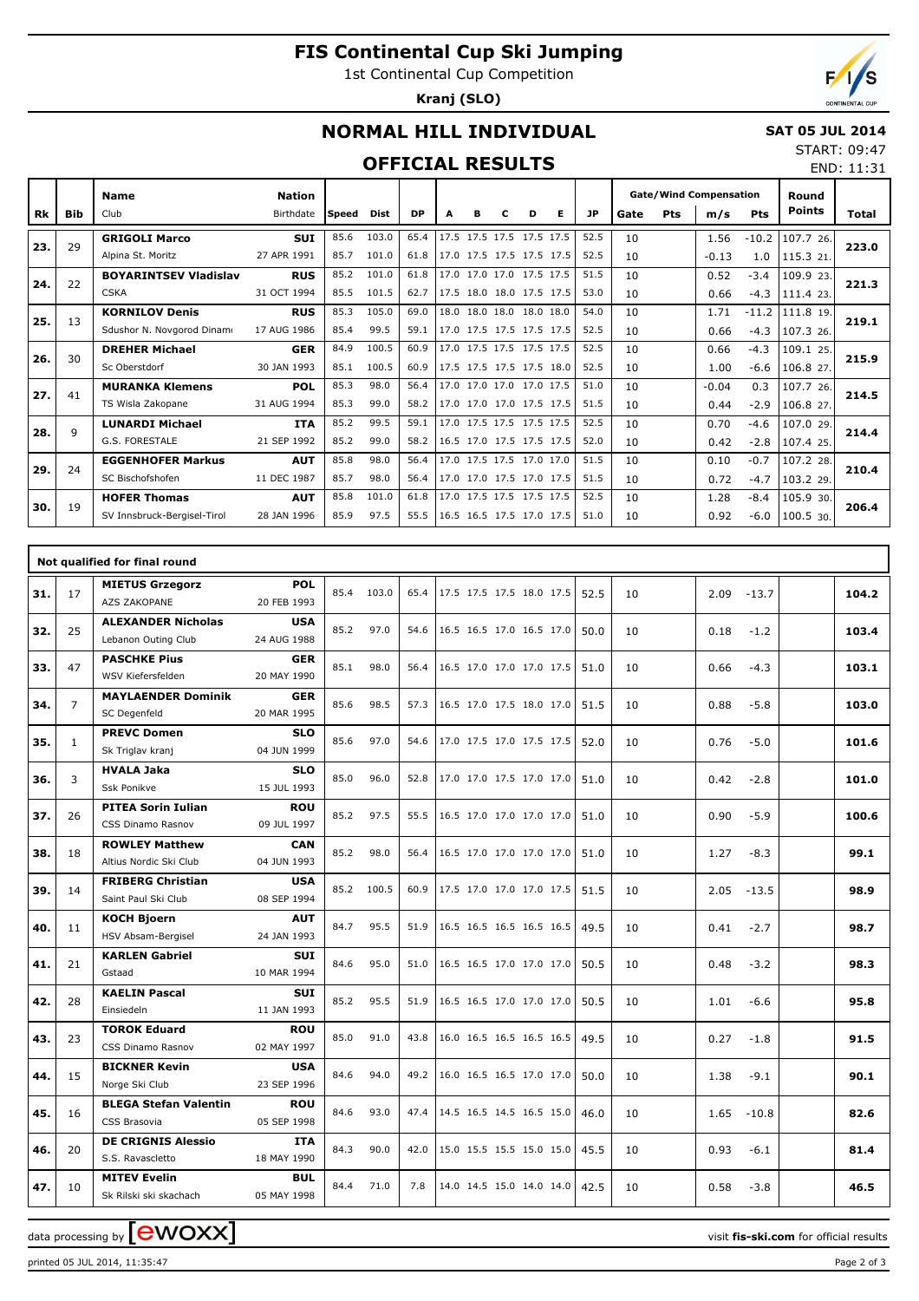# **FIS Continental Cup Ski Jumping**

1st Continental Cup Competition

**Kranj (SLO)**



END: 11:31

## **NORMAL HILL INDIVIDUAL**

#### **SAT 05 JUL 2014** START: 09:47

### **OFFICIAL RESULTS**

|     |     | <b>Name</b>                  | Nation      |       |       |           |   |   |                          |   |   |      | <b>Gate/Wind Compensation</b> |     |         |         | Round         |       |  |
|-----|-----|------------------------------|-------------|-------|-------|-----------|---|---|--------------------------|---|---|------|-------------------------------|-----|---------|---------|---------------|-------|--|
| Rk  | Bib | Club                         | Birthdate   | Speed | Dist  | <b>DP</b> | A | в | с                        | D | Е | JP   | Gate                          | Pts | m/s     | Pts     | <b>Points</b> | Total |  |
|     | 29  | <b>GRIGOLI Marco</b>         | <b>SUI</b>  | 85.6  | 103.0 | 65.4      |   |   | 17.5 17.5 17.5 17.5 17.5 |   |   | 52.5 | 10                            |     | 1.56    | $-10.2$ | 107.7 26.     | 223.0 |  |
| 23. |     | Alpina St. Moritz            | 27 APR 1991 | 85.7  | 101.0 | 61.8      |   |   | 17.0 17.5 17.5 17.5 17.5 |   |   | 52.5 | 10                            |     | $-0.13$ | 1.0     | 115.3 21.     |       |  |
| 24. | 22  | <b>BOYARINTSEV Vladislav</b> | <b>RUS</b>  | 85.2  | 101.0 | 61.8      |   |   | 17.0 17.0 17.0 17.5 17.5 |   |   | 51.5 | 10                            |     | 0.52    | $-3.4$  | 109.9 23.     | 221.3 |  |
|     |     | <b>CSKA</b>                  | 31 OCT 1994 | 85.5  | 101.5 | 62.7      |   |   | 17.5 18.0 18.0 17.5 17.5 |   |   | 53.0 | 10                            |     | 0.66    | $-4.3$  | 111.4 23.     |       |  |
| 25. | 13  | <b>KORNILOV Denis</b>        | <b>RUS</b>  | 85.3  | 105.0 | 69.0      |   |   | 18.0 18.0 18.0 18.0 18.0 |   |   | 54.0 | 10                            |     | 1.71    | $-11.2$ | 111.8 19.     | 219.1 |  |
|     |     | Sdushor N. Novgorod Dinamo   | 17 AUG 1986 | 85.4  | 99.5  | 59.1      |   |   | 17.0 17.5 17.5 17.5 17.5 |   |   | 52.5 | 10                            |     | 0.66    | $-4.3$  | 107.3 26.     |       |  |
| 26. | 30  | <b>DREHER Michael</b>        | <b>GER</b>  | 84.9  | 100.5 | 60.9      |   |   | 17.0 17.5 17.5 17.5 17.5 |   |   | 52.5 | 10                            |     | 0.66    | $-4.3$  | 109.1 25.     | 215.9 |  |
|     |     | Sc Oberstdorf                | 30 JAN 1993 | 85.1  | 100.5 | 60.9      |   |   | 17.5 17.5 17.5 17.5 18.0 |   |   | 52.5 | 10                            |     | 1.00    | $-6.6$  | 106.8 27.     |       |  |
| 27. | 41  | <b>MURANKA Klemens</b>       | <b>POL</b>  | 85.3  | 98.0  | 56.4      |   |   | 17.0 17.0 17.0 17.0 17.5 |   |   | 51.0 | 10                            |     | $-0.04$ | 0.3     | 107.7 26.     | 214.5 |  |
|     |     | TS Wisla Zakopane            | 31 AUG 1994 | 85.3  | 99.0  | 58.2      |   |   | 17.0 17.0 17.0 17.5 17.5 |   |   | 51.5 | 10                            |     | 0.44    | $-2.9$  | 106.8 27.     |       |  |
| 28. | 9   | <b>LUNARDI Michael</b>       | ITA         | 85.2  | 99.5  | 59.1      |   |   | 17.0 17.5 17.5 17.5 17.5 |   |   | 52.5 | 10                            |     | 0.70    | -4.6    | 107.0 29.     | 214.4 |  |
|     |     | G.S. FORESTALE               | 21 SEP 1992 | 85.2  | 99.0  | 58.2      |   |   | 16.5 17.0 17.5 17.5 17.5 |   |   | 52.0 | 10                            |     | 0.42    | $-2.8$  | 107.4 25.     |       |  |
| 29. | 24  | <b>EGGENHOFER Markus</b>     | <b>AUT</b>  | 85.8  | 98.0  | 56.4      |   |   | 17.0 17.5 17.5 17.0 17.0 |   |   | 51.5 | 10                            |     | 0.10    | $-0.7$  | 107.2 28.     | 210.4 |  |
|     |     | SC Bischofshofen             | 11 DEC 1987 | 85.7  | 98.0  | 56.4      |   |   | 17.0 17.0 17.5 17.0 17.5 |   |   | 51.5 | 10                            |     | 0.72    | $-4.7$  | 103.2 29.     |       |  |
| 30. | 19  | <b>HOFER Thomas</b>          | <b>AUT</b>  | 85.8  | 101.0 | 61.8      |   |   | 17.0 17.5 17.5 17.5 17.5 |   |   | 52.5 | 10                            |     | 1.28    | $-8.4$  | 105.9 30.     | 206.4 |  |
|     |     | SV Innsbruck-Bergisel-Tirol  | 28 JAN 1996 | 85.9  | 97.5  | 55.5      |   |   | 16.5 16.5 17.5 17.0 17.5 |   |   | 51.0 | 10                            |     | 0.92    | $-6.0$  | 100.530.      |       |  |

|     |                | Not qualified for final round                    |                           |      |            |      |                          |      |    |                 |       |
|-----|----------------|--------------------------------------------------|---------------------------|------|------------|------|--------------------------|------|----|-----------------|-------|
| 31. | 17             | <b>MIETUS Grzegorz</b><br>AZS ZAKOPANE           | <b>POL</b><br>20 FEB 1993 |      | 85.4 103.0 | 65.4 | 17.5 17.5 17.5 18.0 17.5 | 52.5 | 10 | 2.09<br>$-13.7$ | 104.2 |
| 32. | 25             | <b>ALEXANDER Nicholas</b><br>Lebanon Outing Club | <b>USA</b><br>24 AUG 1988 | 85.2 | 97.0       | 54.6 | 16.5 16.5 17.0 16.5 17.0 | 50.0 | 10 | 0.18<br>$-1.2$  | 103.4 |
| 33. | 47             | <b>PASCHKE Pius</b><br>WSV Kiefersfelden         | <b>GER</b><br>20 MAY 1990 | 85.1 | 98.0       | 56.4 | 16.5 17.0 17.0 17.0 17.5 | 51.0 | 10 | 0.66<br>$-4.3$  | 103.1 |
| 34. | $\overline{7}$ | <b>MAYLAENDER Dominik</b><br>SC Degenfeld        | <b>GER</b><br>20 MAR 1995 | 85.6 | 98.5       | 57.3 | 16.5 17.0 17.5 18.0 17.0 | 51.5 | 10 | $-5.8$<br>0.88  | 103.0 |
| 35. | $\mathbf{1}$   | <b>PREVC Domen</b><br>Sk Triglav kranj           | <b>SLO</b><br>04 JUN 1999 | 85.6 | 97.0       | 54.6 | 17.0 17.5 17.0 17.5 17.5 | 52.0 | 10 | $-5.0$<br>0.76  | 101.6 |
| 36. | 3              | <b>HVALA Jaka</b><br><b>Ssk Ponikve</b>          | <b>SLO</b><br>15 JUL 1993 | 85.0 | 96.0       | 52.8 | 17.0 17.0 17.5 17.0 17.0 | 51.0 | 10 | 0.42<br>$-2.8$  | 101.0 |
| 37. | 26             | <b>PITEA Sorin Iulian</b><br>CSS Dinamo Rasnov   | <b>ROU</b><br>09 JUL 1997 | 85.2 | 97.5       | 55.5 | 16.5 17.0 17.0 17.0 17.0 | 51.0 | 10 | 0.90<br>$-5.9$  | 100.6 |
| 38. | 18             | <b>ROWLEY Matthew</b><br>Altius Nordic Ski Club  | <b>CAN</b><br>04 JUN 1993 | 85.2 | 98.0       | 56.4 | 16.5 17.0 17.0 17.0 17.0 | 51.0 | 10 | 1.27<br>$-8.3$  | 99.1  |
| 39. | 14             | <b>FRIBERG Christian</b><br>Saint Paul Ski Club  | <b>USA</b><br>08 SEP 1994 | 85.2 | 100.5      | 60.9 | 17.5 17.0 17.0 17.0 17.5 | 51.5 | 10 | 2.05<br>$-13.5$ | 98.9  |
| 40. | 11             | <b>KOCH Bjoern</b><br>HSV Absam-Bergisel         | <b>AUT</b><br>24 JAN 1993 | 84.7 | 95.5       | 51.9 | 16.5 16.5 16.5 16.5 16.5 | 49.5 | 10 | 0.41<br>$-2.7$  | 98.7  |
| 41. | 21             | <b>KARLEN Gabriel</b><br>Gstaad                  | <b>SUI</b><br>10 MAR 1994 | 84.6 | 95.0       | 51.0 | 16.5 16.5 17.0 17.0 17.0 | 50.5 | 10 | 0.48<br>$-3.2$  | 98.3  |
| 42. | 28             | <b>KAELIN Pascal</b><br>Einsiedeln               | <b>SUI</b><br>11 JAN 1993 | 85.2 | 95.5       | 51.9 | 16.5 16.5 17.0 17.0 17.0 | 50.5 | 10 | 1.01<br>$-6.6$  | 95.8  |
| 43. | 23             | <b>TOROK Eduard</b><br>CSS Dinamo Rasnov         | <b>ROU</b><br>02 MAY 1997 | 85.0 | 91.0       | 43.8 | 16.0 16.5 16.5 16.5 16.5 | 49.5 | 10 | 0.27<br>$-1.8$  | 91.5  |
| 44. | 15             | <b>BICKNER Kevin</b><br>Norge Ski Club           | <b>USA</b><br>23 SEP 1996 | 84.6 | 94.0       | 49.2 | 16.0 16.5 16.5 17.0 17.0 | 50.0 | 10 | $-9.1$<br>1.38  | 90.1  |
| 45. | 16             | <b>BLEGA Stefan Valentin</b><br>CSS Brasovia     | <b>ROU</b><br>05 SEP 1998 | 84.6 | 93.0       | 47.4 | 14.5 16.5 14.5 16.5 15.0 | 46.0 | 10 | 1.65<br>$-10.8$ | 82.6  |
| 46. | 20             | <b>DE CRIGNIS Alessio</b><br>S.S. Ravascletto    | <b>ITA</b><br>18 MAY 1990 | 84.3 | 90.0       | 42.0 | 15.0 15.5 15.5 15.0 15.0 | 45.5 | 10 | 0.93<br>$-6.1$  | 81.4  |
| 47. | 10             | <b>MITEV Evelin</b><br>Sk Rilski ski skachach    | <b>BUL</b><br>05 MAY 1998 | 84.4 | 71.0       | 7.8  | 14.0 14.5 15.0 14.0 14.0 | 42.5 | 10 | 0.58<br>$-3.8$  | 46.5  |

data processing by **CWOXX**  $\blacksquare$